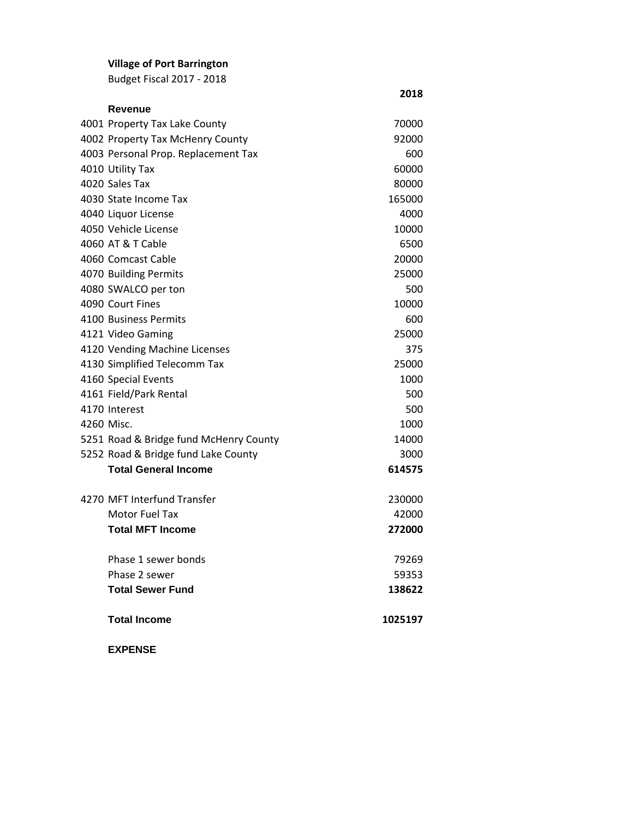# **Village of Port Barrington**

Budget Fiscal 2017 - 2018

| Revenue                                |         |
|----------------------------------------|---------|
| 4001 Property Tax Lake County          | 70000   |
| 4002 Property Tax McHenry County       | 92000   |
| 4003 Personal Prop. Replacement Tax    | 600     |
| 4010 Utility Tax                       | 60000   |
| 4020 Sales Tax                         | 80000   |
| 4030 State Income Tax                  | 165000  |
| 4040 Liquor License                    | 4000    |
| 4050 Vehicle License                   | 10000   |
| 4060 AT & T Cable                      | 6500    |
| 4060 Comcast Cable                     | 20000   |
| 4070 Building Permits                  | 25000   |
| 4080 SWALCO per ton                    | 500     |
| 4090 Court Fines                       | 10000   |
| 4100 Business Permits                  | 600     |
| 4121 Video Gaming                      | 25000   |
| 4120 Vending Machine Licenses          | 375     |
| 4130 Simplified Telecomm Tax           | 25000   |
| 4160 Special Events                    | 1000    |
| 4161 Field/Park Rental                 | 500     |
| 4170 Interest                          | 500     |
| 4260 Misc.                             | 1000    |
| 5251 Road & Bridge fund McHenry County | 14000   |
| 5252 Road & Bridge fund Lake County    | 3000    |
| <b>Total General Income</b>            | 614575  |
| 4270 MFT Interfund Transfer            | 230000  |
| Motor Fuel Tax                         | 42000   |
| <b>Total MFT Income</b>                | 272000  |
| Phase 1 sewer bonds                    | 79269   |
| Phase 2 sewer                          | 59353   |
| <b>Total Sewer Fund</b>                | 138622  |
| <b>Total Income</b>                    | 1025197 |
| <b>EXPENSE</b>                         |         |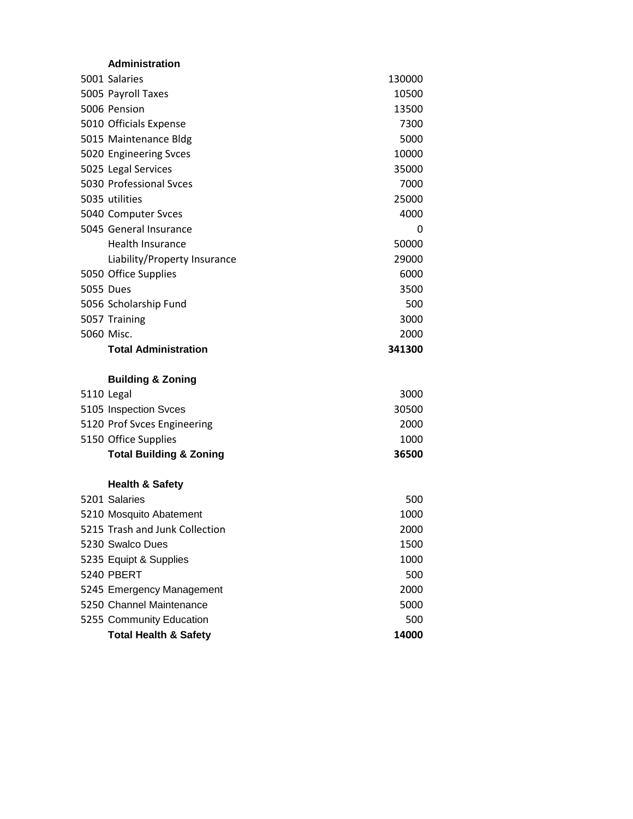| <b>Administration</b> |  |
|-----------------------|--|
|                       |  |

| 5001 Salaries                      |        |
|------------------------------------|--------|
|                                    | 130000 |
| 5005 Payroll Taxes                 | 10500  |
| 5006 Pension                       | 13500  |
| 5010 Officials Expense             | 7300   |
| 5015 Maintenance Bldg              | 5000   |
| 5020 Engineering Svces             | 10000  |
| 5025 Legal Services                | 35000  |
| 5030 Professional Svces            | 7000   |
| 5035 utilities                     | 25000  |
| 5040 Computer Svces                | 4000   |
| 5045 General Insurance             | 0      |
| <b>Health Insurance</b>            | 50000  |
| Liability/Property Insurance       | 29000  |
| 5050 Office Supplies               | 6000   |
| 5055 Dues                          | 3500   |
| 5056 Scholarship Fund              | 500    |
| 5057 Training                      | 3000   |
| 5060 Misc.                         | 2000   |
| <b>Total Administration</b>        | 341300 |
|                                    |        |
| <b>Building &amp; Zoning</b>       |        |
| 5110 Legal                         | 3000   |
| 5105 Inspection Svces              | 30500  |
| 5120 Prof Svces Engineering        | 2000   |
| 5150 Office Supplies               | 1000   |
| <b>Total Building &amp; Zoning</b> | 36500  |
| <b>Health &amp; Safety</b>         |        |
| 5201 Salaries                      | 500    |
| 5210 Mosquito Abatement            | 1000   |
| 5215 Trash and Junk Collection     | 2000   |
| 5230 Swalco Dues                   | 1500   |
| 5235 Equipt & Supplies             | 1000   |
| <b>5240 PBERT</b>                  | 500    |
| 5245 Emergency Management          | 2000   |
| 5250 Channel Maintenance           | 5000   |

**Total Health & Safety 14000**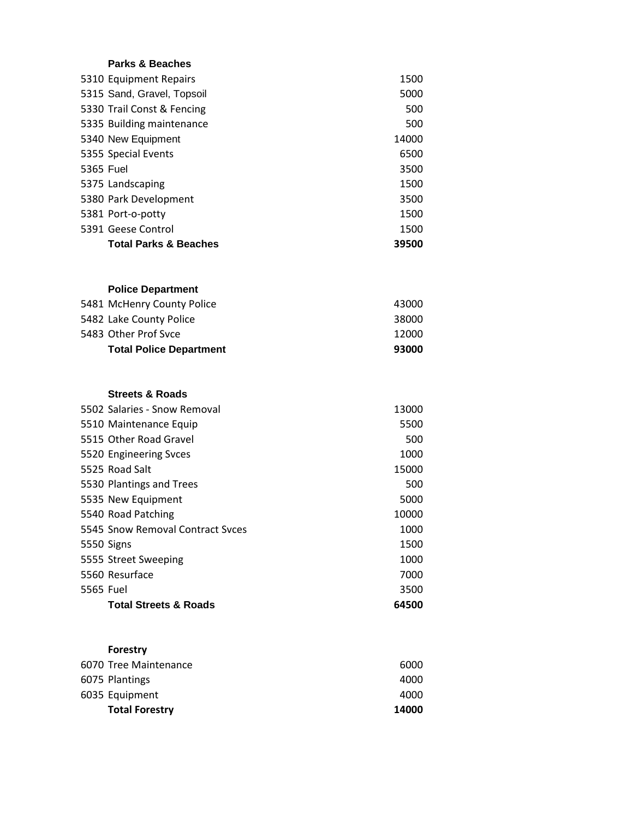### **Parks & Beaches**

|           | 5310 Equipment Repairs           | 1500  |
|-----------|----------------------------------|-------|
|           | 5315 Sand, Gravel, Topsoil       | 5000  |
|           | 5330 Trail Const & Fencing       | 500   |
|           | 5335 Building maintenance        | 500   |
|           | 5340 New Equipment               | 14000 |
|           | 5355 Special Events              | 6500  |
| 5365 Fuel |                                  | 3500  |
|           | 5375 Landscaping                 | 1500  |
|           | 5380 Park Development            | 3500  |
|           | 5381 Port-o-potty                | 1500  |
|           | 5391 Geese Control               | 1500  |
|           | <b>Total Parks &amp; Beaches</b> | 39500 |

## **Police Department**

| <b>Total Police Department</b> | 93000 |
|--------------------------------|-------|
| 5483 Other Prof Syce           | 12000 |
| 5482 Lake County Police        | 38000 |
| 5481 McHenry County Police     | 43000 |

### **Streets & Roads**

|           | <b>Total Streets &amp; Roads</b> | 64500 |
|-----------|----------------------------------|-------|
| 5565 Fuel |                                  | 3500  |
|           | 5560 Resurface                   | 7000  |
|           | 5555 Street Sweeping             | 1000  |
|           | 5550 Signs                       | 1500  |
|           | 5545 Snow Removal Contract Syces | 1000  |
|           | 5540 Road Patching               | 10000 |
|           | 5535 New Equipment               | 5000  |
|           | 5530 Plantings and Trees         | 500   |
|           | 5525 Road Salt                   | 15000 |
|           | 5520 Engineering Svces           | 1000  |
|           | 5515 Other Road Gravel           | 500   |
|           | 5510 Maintenance Equip           | 5500  |
|           | 5502 Salaries - Snow Removal     | 13000 |

## **Forestry**

| <b>Total Forestry</b> | 14000 |
|-----------------------|-------|
| 6035 Equipment        | 4000  |
| 6075 Plantings        | 4000  |
| 6070 Tree Maintenance | 6000  |